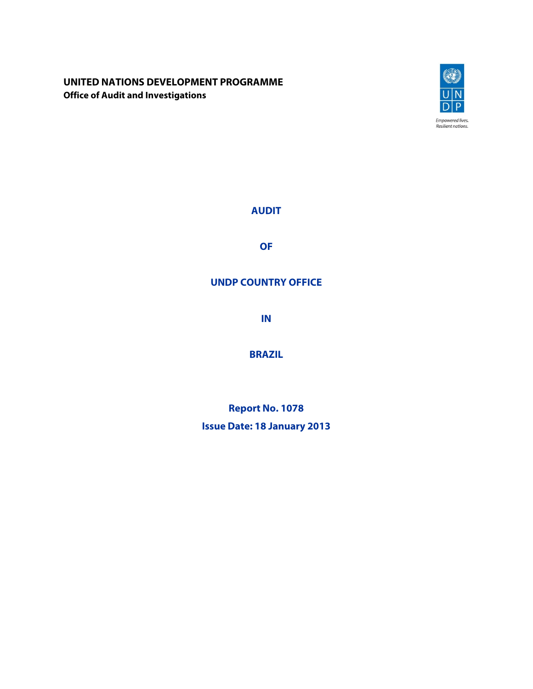## **UNITED NATIONS DEVELOPMENT PROGRAMME Office of Audit and Investigations**



**AUDIT** 

**OF** 

# **UNDP COUNTRY OFFICE**

**IN** 

**BRAZIL**

**Report No. 1078** 

**Issue Date: 18 January 2013**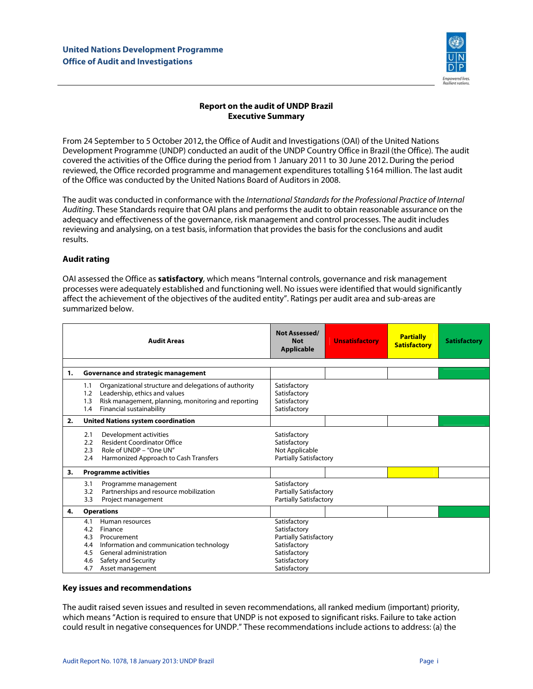

### **Report on the audit of UNDP Brazil Executive Summary**

From 24 September to 5 October 2012**,** the Office of Audit and Investigations (OAI) of the United Nations Development Programme (UNDP) conducted an audit of the UNDP Country Office in Brazil (the Office). The audit covered the activities of the Office during the period from 1 January 2011 to 30 June 2012**.** During the period reviewed, the Office recorded programme and management expenditures totalling \$164 million. The last audit of the Office was conducted by the United Nations Board of Auditors in 2008.

The audit was conducted in conformance with the International Standards for the Professional Practice of Internal Auditing. These Standards require that OAI plans and performs the audit to obtain reasonable assurance on the adequacy and effectiveness of the governance, risk management and control processes. The audit includes reviewing and analysing, on a test basis, information that provides the basis for the conclusions and audit results.

#### **Audit rating**

OAI assessed the Office as **satisfactory**, which means "Internal controls, governance and risk management processes were adequately established and functioning well. No issues were identified that would significantly affect the achievement of the objectives of the audited entity". Ratings per audit area and sub-areas are summarized below.

|    | <b>Audit Areas</b>                                                                                                                                                                                          | <b>Not Assessed/</b><br><b>Not</b><br><b>Applicable</b>                                                                       | <b>Unsatisfactory</b> | <b>Partially</b><br><b>Satisfactory</b> | <b>Satisfactory</b> |
|----|-------------------------------------------------------------------------------------------------------------------------------------------------------------------------------------------------------------|-------------------------------------------------------------------------------------------------------------------------------|-----------------------|-----------------------------------------|---------------------|
| 1. | Governance and strategic management                                                                                                                                                                         |                                                                                                                               |                       |                                         |                     |
|    | Organizational structure and delegations of authority<br>1.1<br>Leadership, ethics and values<br>1.2<br>Risk management, planning, monitoring and reporting<br>1.3<br>Financial sustainability<br>1.4       | Satisfactory<br>Satisfactory<br>Satisfactory<br>Satisfactory                                                                  |                       |                                         |                     |
| 2. | <b>United Nations system coordination</b>                                                                                                                                                                   |                                                                                                                               |                       |                                         |                     |
|    | Development activities<br>2.1<br><b>Resident Coordinator Office</b><br>2.2<br>2.3<br>Role of UNDP - "One UN"<br>2.4<br>Harmonized Approach to Cash Transfers                                                | Satisfactory<br>Satisfactory<br>Not Applicable<br><b>Partially Satisfactory</b>                                               |                       |                                         |                     |
| 3. | <b>Programme activities</b>                                                                                                                                                                                 |                                                                                                                               |                       |                                         |                     |
|    | 3.1<br>Programme management<br>Partnerships and resource mobilization<br>3.2<br>Project management<br>3.3                                                                                                   | Satisfactory<br><b>Partially Satisfactory</b><br><b>Partially Satisfactory</b>                                                |                       |                                         |                     |
| 4. | <b>Operations</b>                                                                                                                                                                                           |                                                                                                                               |                       |                                         |                     |
|    | Human resources<br>4.1<br>4.2<br>Finance<br>4.3<br>Procurement<br>Information and communication technology<br>4.4<br>General administration<br>4.5<br>Safety and Security<br>4.6<br>Asset management<br>4.7 | Satisfactory<br>Satisfactory<br><b>Partially Satisfactory</b><br>Satisfactory<br>Satisfactory<br>Satisfactory<br>Satisfactory |                       |                                         |                     |

#### **Key issues and recommendations**

The audit raised seven issues and resulted in seven recommendations, all ranked medium (important) priority, which means "Action is required to ensure that UNDP is not exposed to significant risks. Failure to take action could result in negative consequences for UNDP." These recommendations include actions to address: (a) the